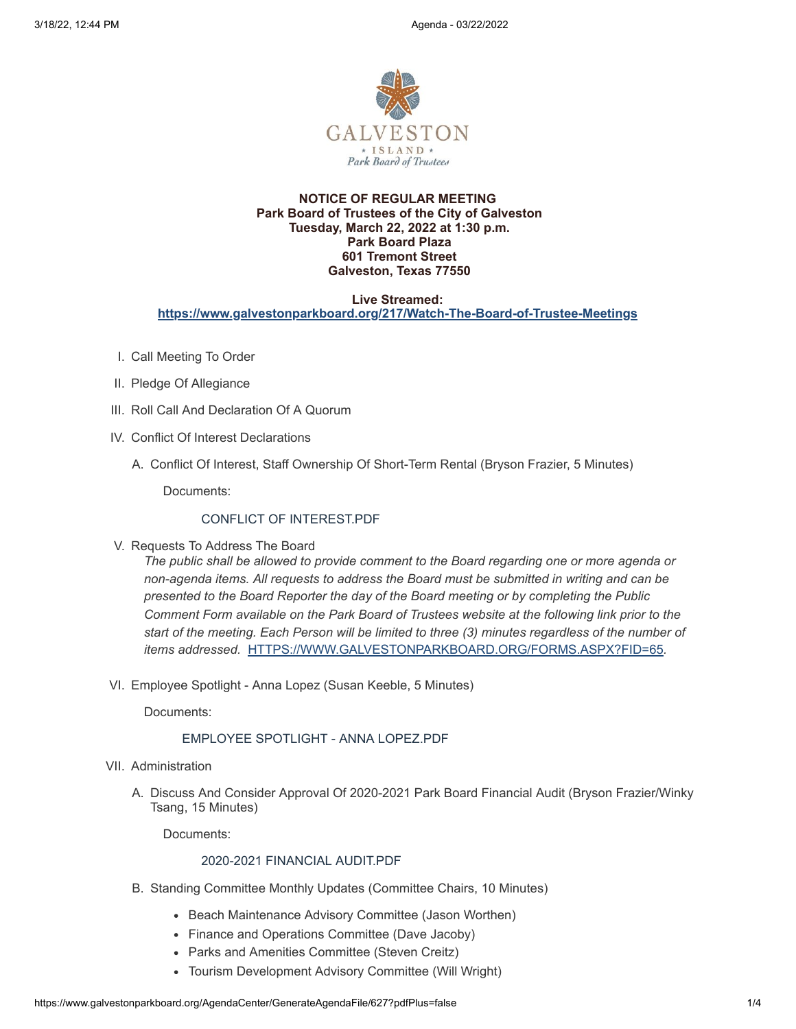

## **NOTICE OF REGULAR MEETING Park Board of Trustees of the City of Galveston Tuesday, March 22, 2022 at 1:30 p.m. Park Board Plaza 601 Tremont Street Galveston, Texas 77550**

#### **Live Streamed: <https://www.galvestonparkboard.org/217/Watch-The-Board-of-Trustee-Meetings>**

- I. Call Meeting To Order
- II. Pledge Of Allegiance
- III. Roll Call And Declaration Of A Quorum
- IV. Conflict Of Interest Declarations
	- A. Conflict Of Interest, Staff Ownership Of Short-Term Rental (Bryson Frazier, 5 Minutes)

Documents:

## CONFLICT OF INTEREST PDF

V. Requests To Address The Board

*The public shall be allowed to provide comment to the Board regarding one or more agenda or non-agenda items. All requests to address the Board must be submitted in writing and can be presented to the Board Reporter the day of the Board meeting or by completing the Public Comment Form available on the Park Board of Trustees website at the following link prior to the start of the meeting. Each Person will be limited to three (3) minutes regardless of the number of items addressed.* [HTTPS://WWW.GALVESTONPARKBOARD.ORG/FORMS.ASPX?FID=65](https://www.galvestonparkboard.org/forms.aspx?FID=65)*.*

VI. Employee Spotlight - Anna Lopez (Susan Keeble, 5 Minutes)

Documents:

# EMPLOYEE [SPOTLIGHT](https://www.galvestonparkboard.org/AgendaCenter/ViewFile/Item/7478?fileID=11311) - ANNA LOPEZ.PDF

- VII. Administration
	- A. Discuss And Consider Approval Of 2020-2021 Park Board Financial Audit (Bryson Frazier/Winky Tsang, 15 Minutes)

Documents:

#### 2020-2021 [FINANCIAL](https://www.galvestonparkboard.org/AgendaCenter/ViewFile/Item/7484?fileID=11350) AUDIT.PDF

- B. Standing Committee Monthly Updates (Committee Chairs, 10 Minutes)
	- Beach Maintenance Advisory Committee (Jason Worthen)
	- Finance and Operations Committee (Dave Jacoby)
	- Parks and Amenities Committee (Steven Creitz)
	- Tourism Development Advisory Committee (Will Wright)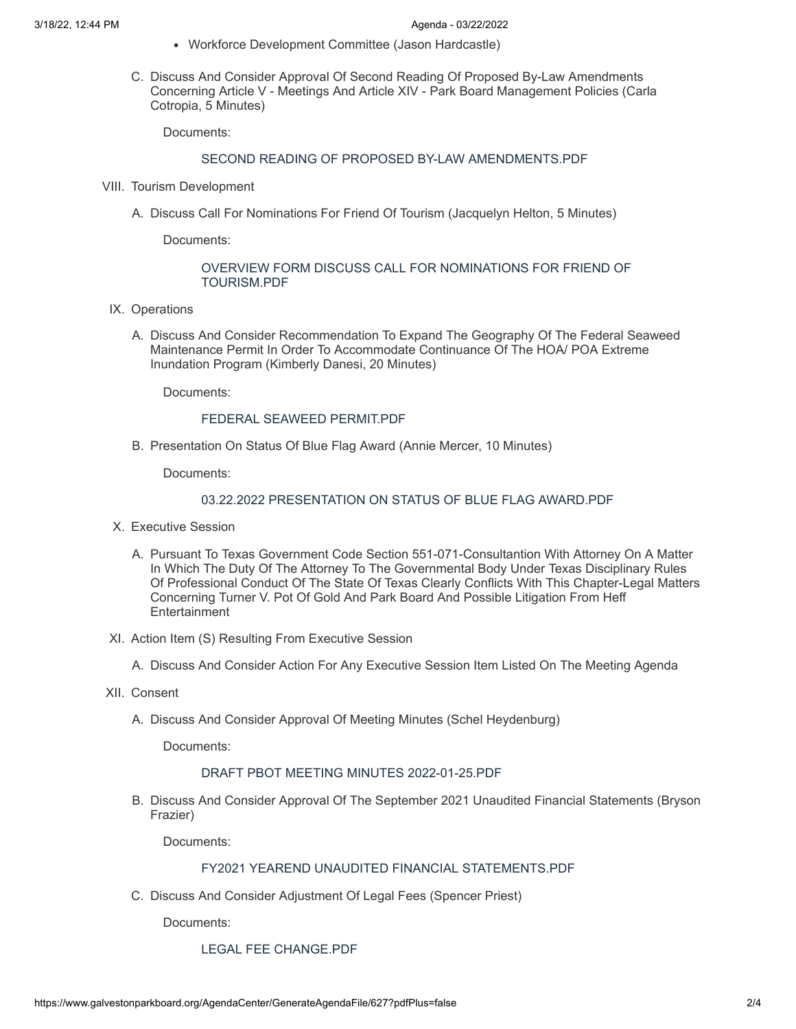- Workforce Development Committee (Jason Hardcastle)
- C. Discuss And Consider Approval Of Second Reading Of Proposed By-Law Amendments Concerning Article V - Meetings And Article XIV - Park Board Management Policies (Carla Cotropia, 5 Minutes)

Documents:

# SECOND READING OF PROPOSED BY-LAW AMENDMENTS PDF

- VIII. Tourism Development
	- A. Discuss Call For Nominations For Friend Of Tourism (Jacquelyn Helton, 5 Minutes)

Documents:

#### OVERVIEW FORM DISCUSS CALL FOR [NOMINATIONS](https://www.galvestonparkboard.org/AgendaCenter/ViewFile/Item/7483?fileID=11341) FOR FRIEND OF TOURISM.PDF

- IX. Operations
	- A. Discuss And Consider Recommendation To Expand The Geography Of The Federal Seaweed Maintenance Permit In Order To Accommodate Continuance Of The HOA/ POA Extreme Inundation Program (Kimberly Danesi, 20 Minutes)

Documents:

#### FEDERAL SEAWEED [PERMIT.PDF](https://www.galvestonparkboard.org/AgendaCenter/ViewFile/Item/7481?fileID=11362)

B. Presentation On Status Of Blue Flag Award (Annie Mercer, 10 Minutes)

Documents:

# 03.22.2022 [PRESENTATION](https://www.galvestonparkboard.org/AgendaCenter/ViewFile/Item/7496?fileID=11352) ON STATUS OF BLUE FLAG AWARD.PDF

- X. Executive Session
	- A. Pursuant To Texas Government Code Section 551-071-Consultantion With Attorney On A Matter In Which The Duty Of The Attorney To The Governmental Body Under Texas Disciplinary Rules Of Professional Conduct Of The State Of Texas Clearly Conflicts With This Chapter-Legal Matters Concerning Turner V. Pot Of Gold And Park Board And Possible Litigation From Heff **Entertainment**
- XI. Action Item (S) Resulting From Executive Session
	- A. Discuss And Consider Action For Any Executive Session Item Listed On The Meeting Agenda
- XII. Consent
	- A. Discuss And Consider Approval Of Meeting Minutes (Schel Heydenburg)

Documents:

### DRAFT PBOT MEETING MINUTES [2022-01-25.PDF](https://www.galvestonparkboard.org/AgendaCenter/ViewFile/Item/7497?fileID=11354)

B. Discuss And Consider Approval Of The September 2021 Unaudited Financial Statements (Bryson Frazier)

Documents:

# FY2021 YEAREND UNAUDITED FINANCIAL [STATEMENTS.PDF](https://www.galvestonparkboard.org/AgendaCenter/ViewFile/Item/7485?fileID=11323)

C. Discuss And Consider Adjustment Of Legal Fees (Spencer Priest)

Documents:

LEGAL FEE [CHANGE.PDF](https://www.galvestonparkboard.org/AgendaCenter/ViewFile/Item/7524?fileID=11361)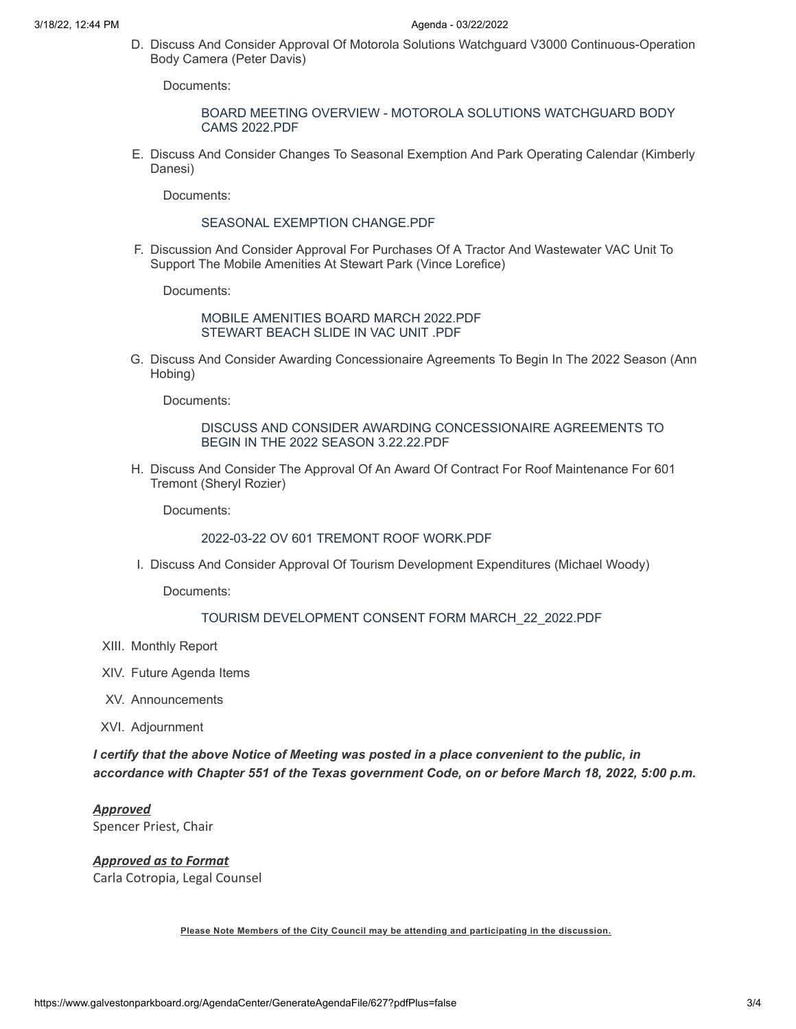D. Discuss And Consider Approval Of Motorola Solutions Watchguard V3000 Continuous-Operation Body Camera (Peter Davis)

Documents:

#### BOARD MEETING OVERVIEW - MOTOROLA SOLUTIONS [WATCHGUARD](https://www.galvestonparkboard.org/AgendaCenter/ViewFile/Item/7493?fileID=11346) BODY CAMS 2022.PDF

E. Discuss And Consider Changes To Seasonal Exemption And Park Operating Calendar (Kimberly Danesi)

Documents:

# SEASONAL EXEMPTION [CHANGE.PDF](https://www.galvestonparkboard.org/AgendaCenter/ViewFile/Item/7523?fileID=11358)

F. Discussion And Consider Approval For Purchases Of A Tractor And Wastewater VAC Unit To Support The Mobile Amenities At Stewart Park (Vince Lorefice)

Documents:

## MOBILE [AMENITIES](https://www.galvestonparkboard.org/AgendaCenter/ViewFile/Item/7492?fileID=11344) BOARD MARCH 2022.PDF [STEWART](https://www.galvestonparkboard.org/AgendaCenter/ViewFile/Item/7492?fileID=11345) BEACH SLIDE IN VAC UNIT .PDF

G. Discuss And Consider Awarding Concessionaire Agreements To Begin In The 2022 Season (Ann Hobing)

Documents:

# DISCUSS AND CONSIDER AWARDING [CONCESSIONAIRE](https://www.galvestonparkboard.org/AgendaCenter/ViewFile/Item/7480?fileID=11313) AGREEMENTS TO BEGIN IN THE 2022 SEASON 3.22.22.PDF

H. Discuss And Consider The Approval Of An Award Of Contract For Roof Maintenance For 601 Tremont (Sheryl Rozier)

Documents:

# 2022-03-22 OV 601 TREMONT ROOF [WORK.PDF](https://www.galvestonparkboard.org/AgendaCenter/ViewFile/Item/7479?fileID=11320)

I. Discuss And Consider Approval Of Tourism Development Expenditures (Michael Woody)

Documents:

# TOURISM DEVELOPMENT CONSENT FORM [MARCH\\_22\\_2022.PDF](https://www.galvestonparkboard.org/AgendaCenter/ViewFile/Item/7494?fileID=11349)

- XIII. Monthly Report
- XIV. Future Agenda Items
- XV. Announcements
- XVI. Adjournment

*I certify that the above Notice of Meeting was posted in a place convenient to the public, in accordance with Chapter 551 of the Texas government Code, on or before March 18, 2022, 5:00 p.m.*

*Approved* Spencer Priest, Chair

# *Approved as to Format*

Carla Cotropia, Legal Counsel

**Please Note Members of the City Council may be attending and participating in the discussion.**